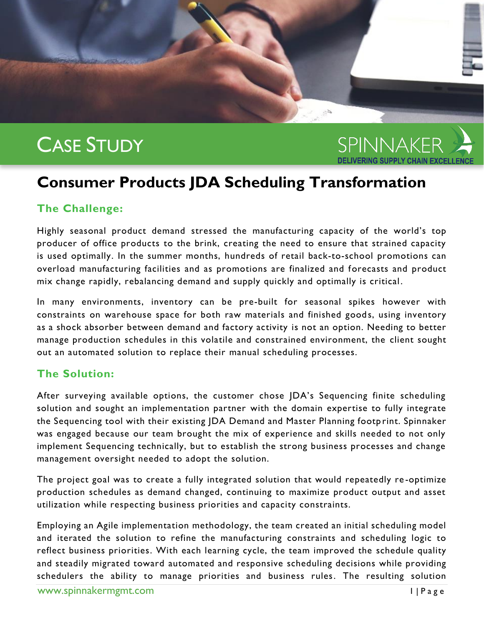# CASE STUDY



## **Consumer Products JDA Scheduling Transformation**

### **The Challenge:**

Highly seasonal product demand stressed the manufacturing capacity of the world's top producer of office products to the brink, creating the need to ensure that strained capacity is used optimally. In the summer months, hundreds of retail back-to-school promotions can overload manufacturing facilities and as promotions are finalized and forecasts and product mix change rapidly, rebalancing demand and supply quickly and optimally is critical .

In many environments, inventory can be pre-built for seasonal spikes however with constraints on warehouse space for both raw materials and finished goods, using inventory as a shock absorber between demand and factory activity is not an option. Needing to better manage production schedules in this volatile and constrained environment, the client sought out an automated solution to replace their manual scheduling processes.

#### **The Solution:**

After surveying available options, the customer chose JDA's Sequencing finite scheduling solution and sought an implementation partner with the domain expertise to fully integrate the Sequencing tool with their existing JDA Demand and Master Planning footp rint. Spinnaker was engaged because our team brought the mix of experience and skills needed to not only implement Sequencing technically, but to establish the strong business processes and change management oversight needed to adopt the solution.

The project goal was to create a fully integrated solution that would repeatedly re -optimize production schedules as demand changed, continuing to maximize product output and asset utilization while respecting business priorities and capacity constraints.

Employing an Agile implementation methodology, the team created an initial scheduling model and iterated the solution to refine the manufacturing constraints and scheduling logic to reflect business priorities. With each learning cycle, the team improved the schedule quality and steadily migrated toward automated and responsive scheduling decisions while providing schedulers the ability to manage priorities and business rules. The resulting solution